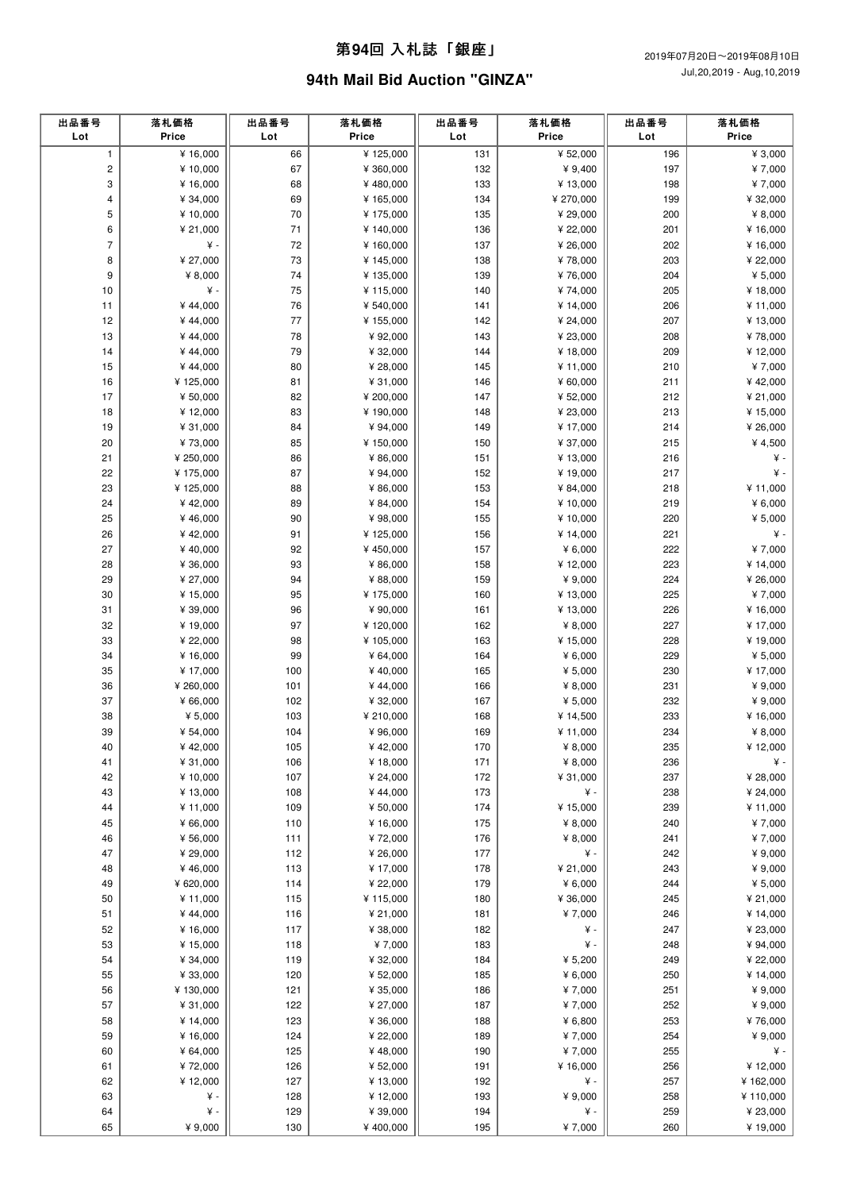### 第**94**回 ⼊札誌「銀座」

# **94th Mail Bid Auction "GINZA"**

| 出品番号<br>Lot    | 落札価格<br>Price        | 出品番号<br>Lot  | 落札価格<br>Price          | 出品番号<br>Lot | 落札価格<br>Price        | 出品番号<br>Lot | 落札価格<br>Price        |
|----------------|----------------------|--------------|------------------------|-------------|----------------------|-------------|----------------------|
| $\mathbf{1}$   | ¥ 16,000             | 66           | ¥125,000               | 131         | ¥ 52,000             | 196         | ¥ 3,000              |
| $\mathbf 2$    | ¥ 10,000             | 67           | ¥ 360,000              | 132         | ¥ $9,400$            | 197         | ¥7,000               |
| 3              | ¥ 16,000             | 68           | ¥480,000               | 133         | ¥ 13,000             | 198         | ¥7,000               |
| 4              | ¥ 34,000             | 69           | ¥ 165,000              | 134         | ¥ 270,000            | 199         | ¥ 32,000             |
| 5              | ¥ 10,000             | 70           | ¥ 175,000              | 135         | ¥ 29,000             | 200         | ¥ 8,000              |
| 6              | ¥ 21,000             | 71           | ¥ 140,000              | 136         | ¥ 22,000             | 201         | ¥ 16,000             |
| $\overline{7}$ | ¥ -                  | 72           | ¥ 160,000              | 137         | ¥ 26,000             | 202         | ¥ 16,000             |
| 8              | ¥ 27,000             | 73           | ¥ 145,000              | 138         | ¥78,000              | 203         | ¥ 22,000             |
| 9              | ¥ $8,000$            | 74           | ¥ 135,000              | 139         | ¥76,000              | 204         | ¥ $5,000$            |
| 10             | ¥ -                  | 75           | ¥ 115,000              | 140         | ¥74,000              | 205         | ¥18,000              |
| 11             | ¥44,000              | 76           | ¥ 540,000              | 141         | ¥ 14,000             | 206         | ¥ 11,000             |
| 12             | ¥44,000              | 77           | ¥ 155,000              | 142         | ¥ 24,000             | 207         | ¥ 13,000             |
| 13             | ¥44,000              | 78           | ¥92,000                | 143         | ¥ 23,000             | 208         | ¥78,000              |
| 14             | ¥44,000              | 79           | ¥ 32,000               | 144         | ¥18,000              | 209         | ¥12,000              |
| 15             | ¥44,000              | 80           | ¥ 28,000               | 145         | ¥ 11,000             | 210         | ¥7,000               |
| 16             | ¥125,000             | 81           | ¥ 31,000               | 146         | ¥ 60,000             | 211         | ¥42,000              |
| 17<br>18       | ¥ 50,000<br>¥12,000  | 82<br>83     | ¥ 200,000<br>¥ 190,000 | 147<br>148  | ¥ 52,000             | 212<br>213  | ¥ 21,000<br>¥ 15,000 |
| 19             | ¥ 31,000             | 84           | ¥94,000                | 149         | ¥ 23,000<br>¥ 17,000 | 214         | ¥ 26,000             |
| 20             | ¥73,000              | 85           | ¥ 150,000              | 150         | ¥ 37,000             | 215         | ¥ 4,500              |
| 21             | ¥ 250,000            | 86           | ¥ 86,000               | 151         | ¥ 13,000             | 216         | ¥ -                  |
| 22             | ¥175,000             | 87           | ¥ 94,000               | 152         | ¥ 19,000             | 217         | ¥ -                  |
| 23             | ¥125,000             | 88           | ¥ 86,000               | 153         | ¥ 84,000             | 218         | ¥ 11,000             |
| 24             | ¥42,000              | 89           | ¥ 84,000               | 154         | ¥ 10,000             | 219         | 46,000               |
| 25             | ¥46,000              | 90           | ¥98,000                | 155         | ¥ 10,000             | 220         | ¥ 5,000              |
| 26             | ¥42,000              | 91           | ¥125,000               | 156         | ¥ 14,000             | 221         | ¥ -                  |
| 27             | ¥40,000              | 92           | ¥450,000               | 157         | ¥ $6,000$            | 222         | ¥7,000               |
| 28             | ¥ 36,000             | 93           | ¥ 86,000               | 158         | ¥12,000              | 223         | ¥ 14,000             |
| 29             | ¥ 27,000             | 94           | ¥ 88,000               | 159         | ¥ 9,000              | 224         | ¥ 26,000             |
| 30             | ¥15,000              | 95           | ¥ 175,000              | 160         | ¥ 13,000             | 225         | ¥7,000               |
| 31             | ¥ 39,000             | 96           | ¥ 90,000               | 161         | ¥ 13,000             | 226         | ¥ 16,000             |
| 32             | ¥19,000              | 97           | ¥120,000               | 162         | ¥ 8,000              | 227         | ¥ 17,000             |
| 33             | ¥ 22,000             | 98           | ¥ 105,000              | 163         | ¥15,000              | 228         | ¥ 19,000             |
| 34             | ¥16,000              | 99           | ¥ 64,000               | 164         | ¥ $6,000$            | 229         | ¥ $5,000$            |
| 35             | ¥17,000              | 100          | ¥40,000                | 165         | ¥ $5,000$            | 230         | ¥ 17,000             |
| 36             | ¥ 260,000            | 101          | ¥44,000                | 166         | ¥ $8,000$            | 231         | ¥ $9,000$            |
| 37             | ¥ 66,000             | 102          | ¥ 32,000               | 167         | ¥ $5,000$            | 232         | ¥ $9,000$            |
| 38             | ¥ $5,000$            | 103          | ¥ 210,000              | 168         | ¥ 14,500             | 233         | ¥ 16,000             |
| 39             | ¥ 54,000             | 104          | ¥ 96,000               | 169         | ¥ 11,000             | 234         | ¥ 8,000              |
| 40             | ¥42,000              | 105          | ¥42,000                | 170         | ¥ $8,000$            | 235         | ¥12,000              |
| 41             | ¥ 31,000             | 106          | ¥ 18,000               | 171         | ¥ $8,000$            | 236         | ¥-                   |
| 42             | ¥ 10,000             | 107          | ¥ 24,000               | 172         | ¥ 31,000             | 237         | ¥ 28,000             |
| 43             | ¥ 13,000             | 108          | ¥44,000                | 173         | ¥ -                  | 238         | ¥ 24,000             |
| 44             | ¥ 11,000             | 109          | ¥ 50,000               | 174         | ¥ 15,000             | 239         | ¥ 11,000             |
| 45             | ¥ 66,000             | 110          | ¥ 16,000               | 175         | ¥ 8,000              | 240         | ¥7,000               |
| 46<br>47       | ¥ 56,000<br>¥ 29,000 | 111<br>$112$ | ¥72,000                | 176<br>177  | ¥ 8,000<br>¥ -       | 241<br>242  | ¥7,000<br>¥ 9,000    |
|                | ¥46,000              | 113          | ¥ 26,000               | 178         |                      | 243         | ¥ 9,000              |
| 48<br>49       | ¥ 620,000            | 114          | ¥ 17,000<br>¥ 22,000   | 179         | ¥ 21,000<br>¥ 6,000  | 244         | ¥ 5,000              |
| 50             | ¥11,000              | 115          | ¥ 115,000              | 180         | ¥ 36,000             | 245         | ¥ 21,000             |
| 51             | ¥44,000              | 116          | ¥ 21,000               | 181         | ¥7,000               | 246         | ¥ 14,000             |
| 52             | ¥ 16,000             | 117          | ¥ 38,000               | 182         | ¥ -                  | 247         | ¥ 23,000             |
| 53             | ¥ 15,000             | 118          | ¥7,000                 | 183         | ¥ -                  | 248         | ¥ 94,000             |
| 54             | ¥ 34,000             | 119          | ¥ 32,000               | 184         | ¥ 5,200              | 249         | ¥ 22,000             |
| 55             | ¥ 33,000             | 120          | ¥ 52,000               | 185         | ¥ $6,000$            | 250         | ¥ 14,000             |
| 56             | ¥130,000             | 121          | ¥ 35,000               | 186         | ¥7,000               | 251         | ¥ $9,000$            |
| 57             | ¥ 31,000             | 122          | ¥ 27,000               | 187         | ¥7,000               | 252         | ¥ 9,000              |
| 58             | ¥ 14,000             | 123          | ¥ 36,000               | 188         | ¥ $6,800$            | 253         | ¥76,000              |
| 59             | ¥ 16,000             | 124          | ¥ 22,000               | 189         | ¥7,000               | 254         | ¥ 9,000              |
| 60             | ¥ 64,000             | 125          | ¥48,000                | 190         | ¥7,000               | 255         | ¥ -                  |
| 61             | ¥72,000              | 126          | ¥ 52,000               | 191         | ¥ 16,000             | 256         | ¥ 12,000             |
| 62             | ¥12,000              | 127          | ¥13,000                | 192         | ¥ -                  | 257         | ¥162,000             |
| 63             | ¥ -                  | 128          | ¥12,000                | 193         | ¥ 9,000              | 258         | ¥ 110,000            |
| 64             | ¥ -                  | 129          | ¥ 39,000               | 194         | ¥ -                  | 259         | ¥ 23,000             |
| 65             | ¥ 9,000              | 130          | ¥400,000               | 195         | ¥7,000               | 260         | ¥19,000              |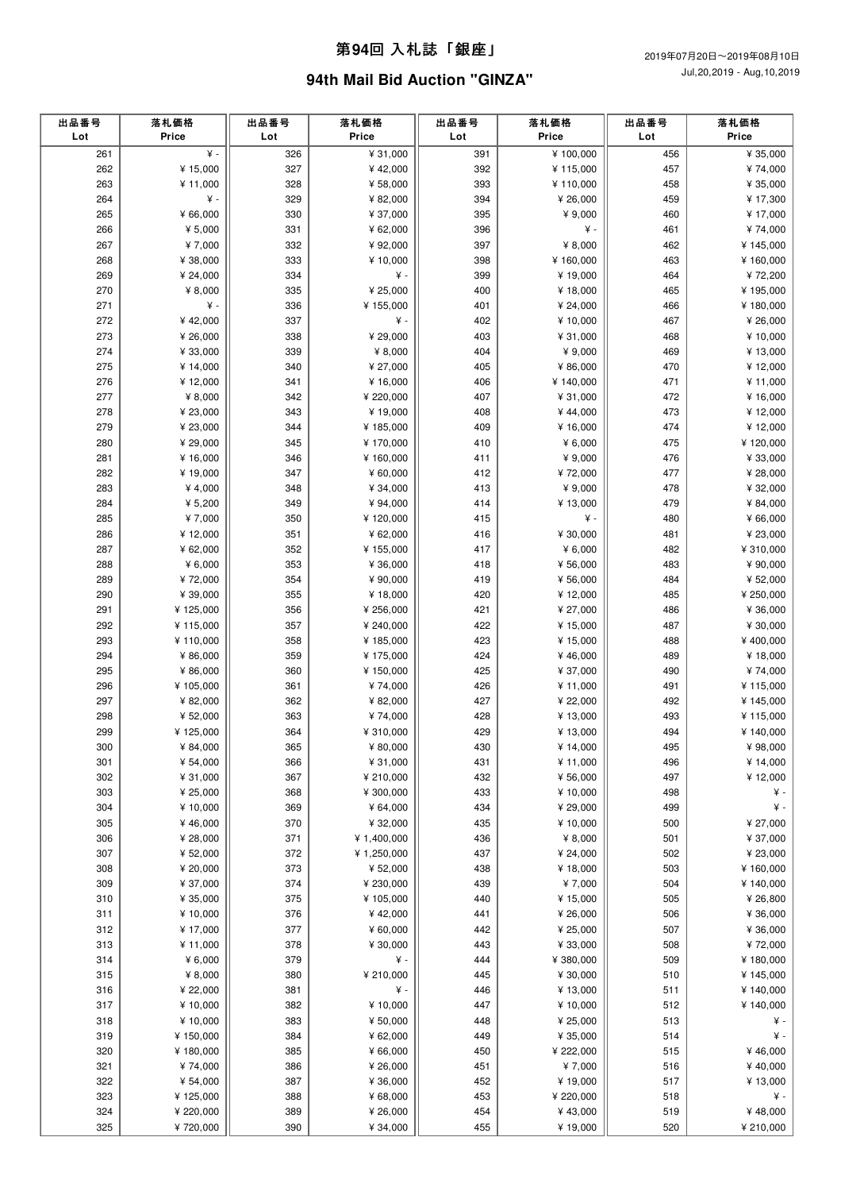#### 第**94**回 ⼊札誌「銀座」

## **94th Mail Bid Auction "GINZA"**

| 出品番号<br>Lot | 落札価格<br>Price        | 出品番号<br>Lot | 落札価格<br>Price          | 出品番号<br>Lot | 落札価格<br>Price       | 出品番号<br>Lot | 落札価格<br>Price        |
|-------------|----------------------|-------------|------------------------|-------------|---------------------|-------------|----------------------|
| 261         | ¥ -                  | 326         | ¥ 31,000               | 391         | ¥100,000            | 456         | ¥ 35,000             |
| 262         | ¥ 15,000             | 327         | ¥42,000                | 392         | ¥115,000            | 457         | ¥74,000              |
| 263         | ¥ 11,000             | 328         | ¥ 58,000               | 393         | ¥110,000            | 458         | ¥ 35,000             |
| 264         | ¥ -                  | 329         | ¥ 82,000               | 394         | ¥ 26,000            | 459         | ¥ 17,300             |
| 265         | ¥ 66,000             | 330         | ¥ 37,000               | 395         | ¥ 9,000             | 460         | ¥ 17,000             |
| 266         | ¥ $5,000$            | 331         | ¥ 62,000               | 396         | ¥ -                 | 461         | ¥74,000              |
| 267         | ¥7,000               | 332         | ¥92,000                | 397         | ¥ 8,000             | 462         | ¥145,000             |
| 268         | ¥ 38,000             | 333         | ¥ 10,000               | 398         | ¥160,000            | 463         | ¥160,000             |
| 269         | ¥ 24,000             | 334         | ¥ -                    | 399         | ¥ 19,000            | 464         | ¥72,200              |
| 270         | ¥ $8,000$            | 335         | ¥ 25,000               | 400         | ¥ 18,000            | 465         | ¥195,000             |
| 271         | ¥ -                  | 336         | ¥ 155,000              | 401         | ¥ 24,000            | 466         | ¥180,000             |
| 272         | ¥42,000              | 337         | ¥ -                    | 402         | ¥ 10,000            | 467         | ¥ 26,000             |
| 273         | ¥ 26,000             | 338         | ¥ 29,000               | 403         | ¥ 31,000            | 468         | ¥ 10,000             |
| 274         | ¥ 33,000             | 339         | ¥ $8,000$              | 404         | ¥ 9,000             | 469         | ¥ 13,000             |
| 275         | ¥ 14,000             | 340         | ¥ 27,000               | 405         | ¥ 86,000            | 470         | ¥ 12,000             |
| 276         | ¥12,000              | 341         | ¥ 16,000               | 406         | ¥140,000            | 471         | ¥ 11,000             |
| 277         | ¥ $8,000$            | 342         | ¥ 220,000              | 407         | ¥ 31,000            | 472         | ¥ 16,000             |
| 278         | ¥ 23,000             | 343         | ¥19,000                | 408         | ¥44,000             | 473         | ¥ 12,000             |
| 279         | ¥ 23,000             | 344         | ¥ 185,000              | 409         | ¥ 16,000            | 474         | ¥12,000              |
| 280         | ¥ 29,000             | 345         | ¥ 170,000              | 410         | ¥ $6,000$           | 475         | ¥120,000             |
| 281         | ¥ 16,000             | 346         | ¥ 160,000              | 411         | ¥ 9,000             | 476         | ¥ 33,000             |
| 282         | ¥19,000              | 347         | ¥ 60,000               | 412         | ¥72,000             | 477         | ¥ 28,000             |
| 283         | ¥ 4,000              | 348         | ¥ 34,000               | 413         | ¥ 9,000             | 478         | ¥ 32,000             |
| 284         | ¥ 5,200              | 349         | ¥ 94,000               | 414         | ¥ 13,000            | 479         | ¥ 84,000             |
| 285         | ¥7,000               | 350         | ¥120,000               | 415         | ¥ -                 | 480         | ¥ 66,000             |
| 286         | ¥12,000              | 351         | ¥ 62,000               | 416         | ¥ 30,000            | 481         | ¥ 23,000             |
| 287         | ¥ 62,000             | 352         | ¥ 155,000              | 417         | ¥ 6,000             | 482         | ¥ 310,000            |
| 288         | ¥ $6,000$            | 353         | ¥ 36,000               | 418         | ¥ 56,000            | 483         | ¥ 90,000             |
| 289         | ¥72,000              | 354         | ¥ 90,000               | 419         | ¥ 56,000            | 484         | ¥ 52,000             |
| 290         | ¥ 39,000             | 355         | ¥18,000                | 420         | ¥ 12,000            | 485         | ¥ 250,000            |
| 291         | ¥125,000             | 356         | ¥ 256,000              | 421         | ¥ 27,000            | 486         | ¥ 36,000             |
| 292         | ¥115,000             | 357         | ¥ 240,000              | 422         | ¥ 15,000            | 487         | ¥ 30,000             |
| 293<br>294  | ¥110,000<br>¥ 86,000 | 358<br>359  | ¥ 185,000<br>¥ 175,000 | 423<br>424  | ¥ 15,000<br>¥46,000 | 488<br>489  | ¥400,000<br>¥ 18,000 |
| 295         | ¥ 86,000             | 360         | ¥ 150,000              | 425         | ¥ 37,000            | 490         | ¥74,000              |
| 296         | ¥105,000             | 361         | ¥74,000                | 426         | ¥ 11,000            | 491         | ¥115,000             |
| 297         | ¥ 82,000             | 362         | ¥ 82,000               | 427         | ¥ 22,000            | 492         | ¥145,000             |
| 298         | ¥ 52,000             | 363         | ¥74,000                | 428         | ¥ 13,000            | 493         | ¥ 115,000            |
| 299         | ¥125,000             | 364         | ¥ 310,000              | 429         | ¥ 13,000            | 494         | ¥140,000             |
| 300         | ¥ 84,000             | 365         | ¥ 80,000               | 430         | ¥14,000             | 495         | ¥98,000              |
| 301         | ¥ 54,000             | 366         | ¥ 31,000               | 431         | ¥ 11,000            | 496         | ¥ 14,000             |
| 302         | ¥ 31,000             | 367         | ¥ 210,000              | 432         | ¥ 56,000            | 497         | ¥ 12,000             |
| 303         | ¥ 25,000             | 368         | ¥ 300,000              | 433         | ¥ 10,000            | 498         | ¥ -                  |
| 304         | ¥ 10,000             | 369         | ¥ 64,000               | 434         | ¥ 29,000            | 499         | ¥.                   |
| 305         | ¥46,000              | 370         | ¥ 32,000               | 435         | ¥ 10,000            | 500         | ¥ 27,000             |
| 306         | ¥ 28,000             | 371         | ¥ 1,400,000            | 436         | ¥ 8,000             | 501         | ¥ 37,000             |
| 307         | ¥ 52,000             | 372         | ¥ 1,250,000            | 437         | ¥ 24,000            | 502         | ¥ 23,000             |
| 308         | ¥ 20,000             | 373         | ¥ 52,000               | 438         | ¥ 18,000            | 503         | ¥160,000             |
| 309         | ¥ 37,000             | 374         | ¥ 230,000              | 439         | ¥7,000              | 504         | ¥ 140,000            |
| 310         | ¥ 35,000             | 375         | ¥ 105,000              | 440         | ¥ 15,000            | 505         | ¥ 26,800             |
| 311         | ¥ 10,000             | 376         | ¥42,000                | 441         | ¥ 26,000            | 506         | ¥ 36,000             |
| 312         | ¥ 17,000             | 377         | ¥ 60,000               | 442         | ¥ 25,000            | 507         | ¥ 36,000             |
| 313         | ¥ 11,000             | 378         | ¥ 30,000               | 443         | ¥ 33,000            | 508         | ¥72,000              |
| 314         | 46,000               | 379         | ¥ -                    | 444         | ¥ 380,000           | 509         | ¥180,000             |
| 315         | ¥ 8,000              | 380         | ¥ 210,000              | 445         | ¥ 30,000            | 510         | ¥ 145,000            |
| 316         | ¥ 22,000             | 381         | ¥ -                    | 446         | ¥ 13,000            | 511         | ¥140,000             |
| 317         | ¥10,000              | 382         | ¥ 10,000               | 447         | ¥ 10,000            | 512         | ¥ 140,000            |
| 318         | ¥ 10,000             | 383         | ¥ 50,000               | 448         | ¥ 25,000            | 513         | ¥.                   |
| 319         | ¥ 150,000            | 384         | ¥ 62,000               | 449         | ¥ 35,000            | 514         | ¥.                   |
| 320         | ¥180,000             | 385         | ¥ 66,000               | 450         | ¥ 222,000           | 515         | ¥46,000              |
| 321         | ¥74,000              | 386         | ¥ 26,000               | 451         | ¥7,000              | 516         | ¥40,000              |
| 322         | ¥ 54,000             | 387         | ¥ 36,000               | 452         | ¥ 19,000            | 517         | ¥ 13,000             |
| 323         | ¥125,000             | 388         | ¥ 68,000               | 453         | ¥ 220,000           | 518         | ¥ -                  |
| 324         | ¥ 220,000            | 389         | ¥ 26,000               | 454         | ¥43,000             | 519         | ¥48,000              |
| 325         | ¥720,000             | 390         | ¥ 34,000               | 455         | ¥ 19,000            | 520         | ¥ 210,000            |